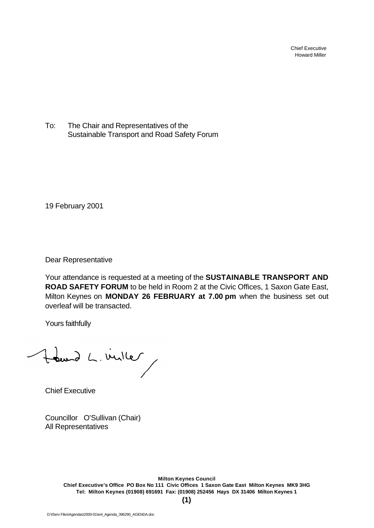Chief Executive Howard Miller

To: The Chair and Representatives of the Sustainable Transport and Road Safety Forum

19 February 2001

Dear Representative

Your attendance is requested at a meeting of the **SUSTAINABLE TRANSPORT AND ROAD SAFETY FORUM** to be held in Room 2 at the Civic Offices, 1 Saxon Gate East, Milton Keynes on **MONDAY 26 FEBRUARY at 7.00 pm** when the business set out overleaf will be transacted.

Yours faithfully

Hourd L. ville

Chief Executive

Councillor O'Sullivan (Chair) All Representatives

> **Milton Keynes Council Chief Executive's Office PO Box No 111 Civic Offices 1 Saxon Gate East Milton Keynes MK9 3HG Tel: Milton Keynes (01908) 691691 Fax: (01908) 252456 Hays DX 31406 Milton Keynes 1**